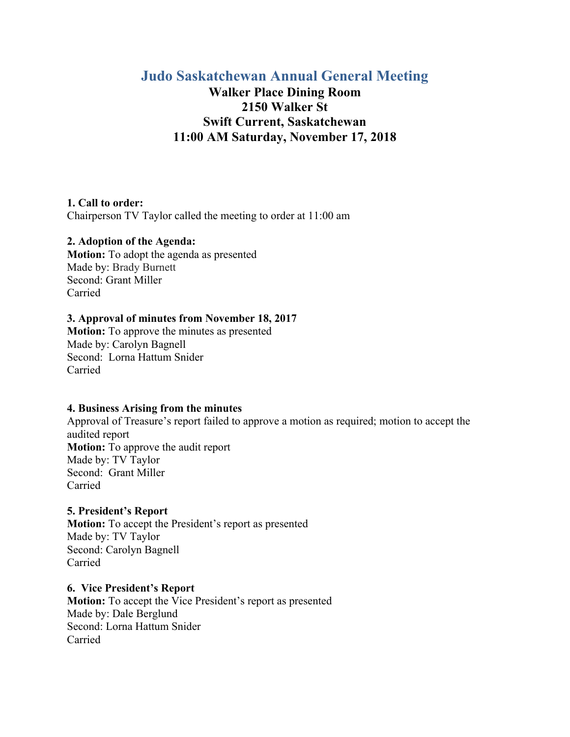# **Judo Saskatchewan Annual General Meeting**

# **Walker Place Dining Room 2150 Walker St Swift Current, Saskatchewan 11:00 AM Saturday, November 17, 2018**

### **1. Call to order:**

Chairperson TV Taylor called the meeting to order at 11:00 am

### **2. Adoption of the Agenda:**

**Motion:** To adopt the agenda as presented Made by: Brady Burnett Second: Grant Miller Carried

### **3. Approval of minutes from November 18, 2017**

**Motion:** To approve the minutes as presented Made by: Carolyn Bagnell Second: Lorna Hattum Snider Carried

#### **4. Business Arising from the minutes**

Approval of Treasure's report failed to approve a motion as required; motion to accept the audited report **Motion:** To approve the audit report Made by: TV Taylor Second: Grant Miller Carried

### **5. President's Report**

**Motion:** To accept the President's report as presented Made by: TV Taylor Second: Carolyn Bagnell Carried

**6. Vice President's Report Motion:** To accept the Vice President's report as presented Made by: Dale Berglund Second: Lorna Hattum Snider Carried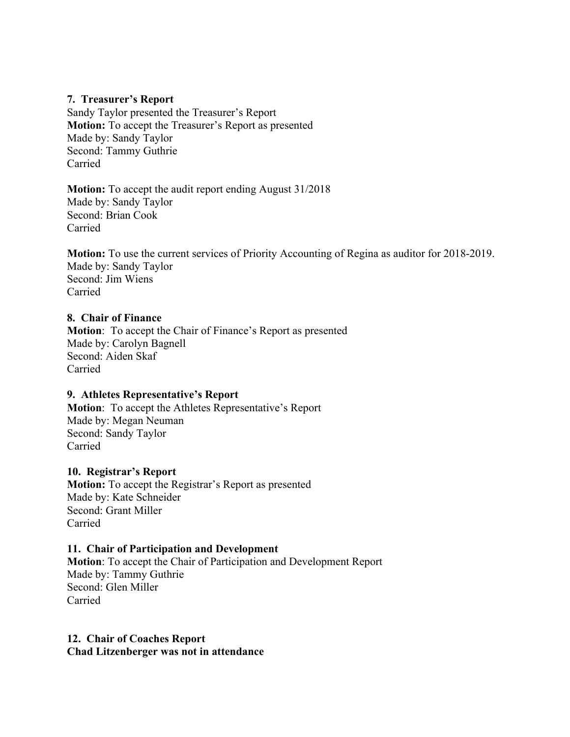### **7. Treasurer's Report**

Sandy Taylor presented the Treasurer's Report **Motion:** To accept the Treasurer's Report as presented Made by: Sandy Taylor Second: Tammy Guthrie Carried

**Motion:** To accept the audit report ending August 31/2018 Made by: Sandy Taylor Second: Brian Cook Carried

**Motion:** To use the current services of Priority Accounting of Regina as auditor for 2018-2019. Made by: Sandy Taylor Second: Jim Wiens Carried

### **8. Chair of Finance**

**Motion**: To accept the Chair of Finance's Report as presented Made by: Carolyn Bagnell Second: Aiden Skaf Carried

### **9. Athletes Representative's Report**

**Motion**: To accept the Athletes Representative's Report Made by: Megan Neuman Second: Sandy Taylor Carried

#### **10. Registrar's Report**

**Motion:** To accept the Registrar's Report as presented Made by: Kate Schneider Second: Grant Miller Carried

#### **11. Chair of Participation and Development**

**Motion**: To accept the Chair of Participation and Development Report Made by: Tammy Guthrie Second: Glen Miller Carried

**12. Chair of Coaches Report Chad Litzenberger was not in attendance**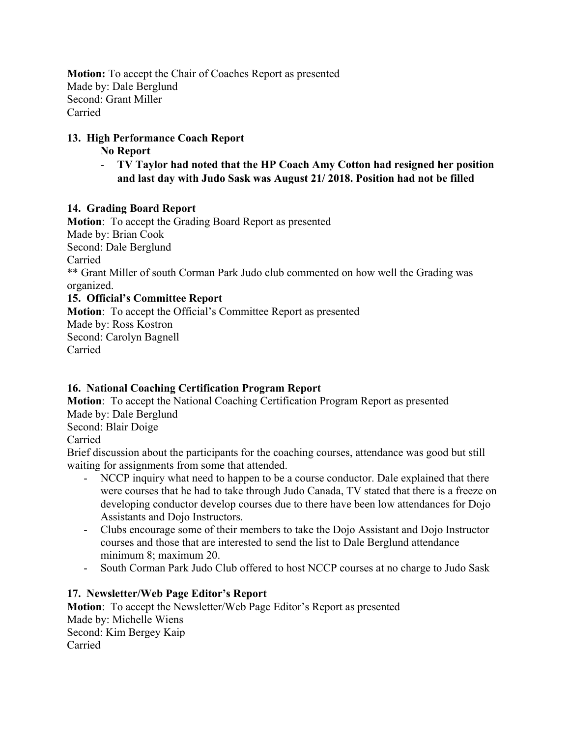**Motion:** To accept the Chair of Coaches Report as presented Made by: Dale Berglund Second: Grant Miller Carried

# **13. High Performance Coach Report**

## **No Report**

- **TV Taylor had noted that the HP Coach Amy Cotton had resigned her position and last day with Judo Sask was August 21/ 2018. Position had not be filled** 

## **14. Grading Board Report**

**Motion**: To accept the Grading Board Report as presented Made by: Brian Cook Second: Dale Berglund Carried \*\* Grant Miller of south Corman Park Judo club commented on how well the Grading was organized. **15. Official's Committee Report Motion**: To accept the Official's Committee Report as presented Made by: Ross Kostron Second: Carolyn Bagnell Carried

# **16. National Coaching Certification Program Report**

**Motion**: To accept the National Coaching Certification Program Report as presented Made by: Dale Berglund Second: Blair Doige Carried

Brief discussion about the participants for the coaching courses, attendance was good but still waiting for assignments from some that attended.

- NCCP inquiry what need to happen to be a course conductor. Dale explained that there were courses that he had to take through Judo Canada, TV stated that there is a freeze on developing conductor develop courses due to there have been low attendances for Dojo Assistants and Dojo Instructors.
- Clubs encourage some of their members to take the Dojo Assistant and Dojo Instructor courses and those that are interested to send the list to Dale Berglund attendance minimum 8; maximum 20.
- South Corman Park Judo Club offered to host NCCP courses at no charge to Judo Sask

# **17. Newsletter/Web Page Editor's Report**

**Motion**: To accept the Newsletter/Web Page Editor's Report as presented Made by: Michelle Wiens Second: Kim Bergey Kaip Carried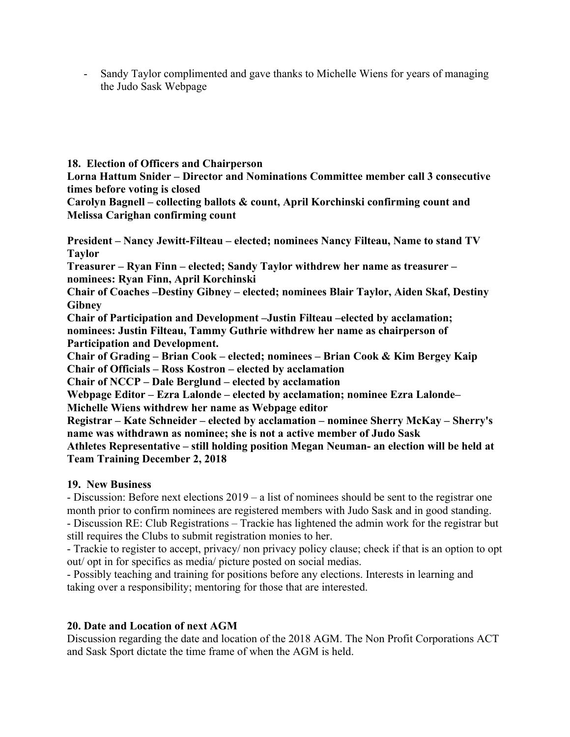- Sandy Taylor complimented and gave thanks to Michelle Wiens for years of managing the Judo Sask Webpage

**18. Election of Officers and Chairperson** 

**Lorna Hattum Snider – Director and Nominations Committee member call 3 consecutive times before voting is closed** 

**Carolyn Bagnell – collecting ballots & count, April Korchinski confirming count and Melissa Carighan confirming count** 

**President – Nancy Jewitt-Filteau – elected; nominees Nancy Filteau, Name to stand TV Taylor** 

**Treasurer – Ryan Finn – elected; Sandy Taylor withdrew her name as treasurer – nominees: Ryan Finn, April Korchinski** 

**Chair of Coaches –Destiny Gibney – elected; nominees Blair Taylor, Aiden Skaf, Destiny Gibney** 

**Chair of Participation and Development –Justin Filteau –elected by acclamation; nominees: Justin Filteau, Tammy Guthrie withdrew her name as chairperson of Participation and Development.** 

**Chair of Grading – Brian Cook – elected; nominees – Brian Cook & Kim Bergey Kaip Chair of Officials – Ross Kostron – elected by acclamation** 

**Chair of NCCP – Dale Berglund – elected by acclamation** 

**Webpage Editor – Ezra Lalonde – elected by acclamation; nominee Ezra Lalonde– Michelle Wiens withdrew her name as Webpage editor** 

**Registrar – Kate Schneider – elected by acclamation – nominee Sherry McKay – Sherry's name was withdrawn as nominee; she is not a active member of Judo Sask** 

**Athletes Representative – still holding position Megan Neuman- an election will be held at Team Training December 2, 2018** 

# **19. New Business**

- Discussion: Before next elections 2019 – a list of nominees should be sent to the registrar one month prior to confirm nominees are registered members with Judo Sask and in good standing. - Discussion RE: Club Registrations – Trackie has lightened the admin work for the registrar but

still requires the Clubs to submit registration monies to her.

- Trackie to register to accept, privacy/ non privacy policy clause; check if that is an option to opt out/ opt in for specifics as media/ picture posted on social medias.

- Possibly teaching and training for positions before any elections. Interests in learning and taking over a responsibility; mentoring for those that are interested.

# **20. Date and Location of next AGM**

Discussion regarding the date and location of the 2018 AGM. The Non Profit Corporations ACT and Sask Sport dictate the time frame of when the AGM is held.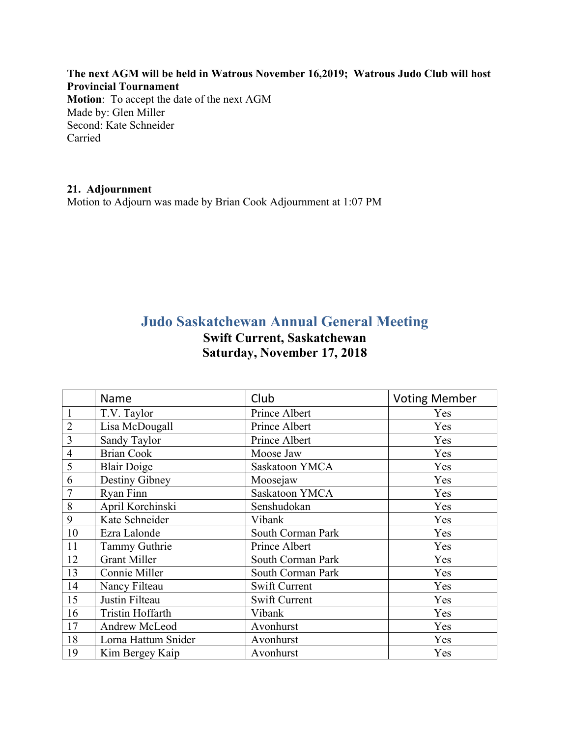**The next AGM will be held in Watrous November 16,2019; Watrous Judo Club will host Provincial Tournament Motion**: To accept the date of the next AGM Made by: Glen Miller Second: Kate Schneider Carried

## **21. Adjournment**

Motion to Adjourn was made by Brian Cook Adjournment at 1:07 PM

# **Judo Saskatchewan Annual General Meeting Swift Current, Saskatchewan Saturday, November 17, 2018**

|                | Name                    | Club              | <b>Voting Member</b> |
|----------------|-------------------------|-------------------|----------------------|
|                | T.V. Taylor             | Prince Albert     | Yes                  |
| $\overline{2}$ | Lisa McDougall          | Prince Albert     | Yes                  |
| 3              | Sandy Taylor            | Prince Albert     | Yes                  |
| $\overline{4}$ | <b>Brian Cook</b>       | Moose Jaw         | Yes                  |
| 5              | <b>Blair Doige</b>      | Saskatoon YMCA    | Yes                  |
| 6              | Destiny Gibney          | Moosejaw          | Yes                  |
| 7              | Ryan Finn               | Saskatoon YMCA    | Yes                  |
| 8              | April Korchinski        | Senshudokan       | Yes                  |
| 9              | Kate Schneider          | Vibank            | Yes                  |
| 10             | Ezra Lalonde            | South Corman Park | Yes                  |
| 11             | Tammy Guthrie           | Prince Albert     | Yes                  |
| 12             | <b>Grant Miller</b>     | South Corman Park | Yes                  |
| 13             | Connie Miller           | South Corman Park | Yes                  |
| 14             | Nancy Filteau           | Swift Current     | Yes                  |
| 15             | Justin Filteau          | Swift Current     | Yes                  |
| 16             | <b>Tristin Hoffarth</b> | Vibank            | Yes                  |
| 17             | Andrew McLeod           | Avonhurst         | Yes                  |
| 18             | Lorna Hattum Snider     | Avonhurst         | Yes                  |
| 19             | Kim Bergey Kaip         | Avonhurst         | Yes                  |